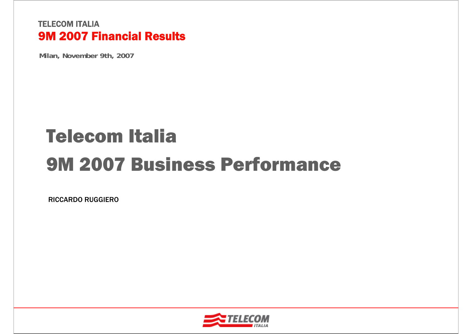**Milan, November 9th, 2007**

# Telecom Italia9M 2007 Business Performance

RICCARDO RUGGIERO

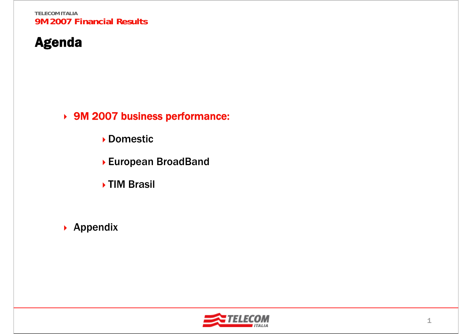# Agenda

9M 2007 business performance:

- Domestic
- European BroadBand
- TIM Brasil
- ▶ Appendix

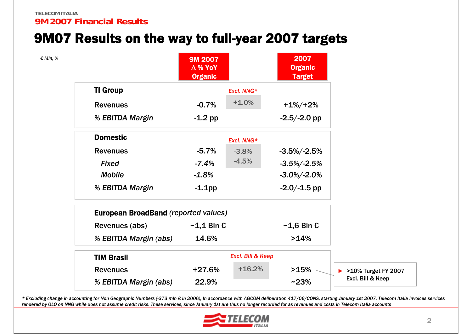### 9M07 Results on the way to full-year 2007 targets

| € MIn, % |                                             | <b>9M 2007</b><br>$\Delta$ % YoY<br><b>Organic</b> |                              | 2007<br><b>Organic</b><br><b>Target</b> |                                      |
|----------|---------------------------------------------|----------------------------------------------------|------------------------------|-----------------------------------------|--------------------------------------|
|          | <b>TI Group</b>                             |                                                    | Excl. NNG*                   |                                         |                                      |
|          | <b>Revenues</b>                             | $-0.7%$                                            | $+1.0%$                      | $+1\%/+2\%$                             |                                      |
|          | % EBITDA Margin                             | $-1.2$ pp                                          |                              | $-2.5/-2.0$ pp                          |                                      |
|          | <b>Domestic</b>                             |                                                    | Excl. NNG*                   |                                         |                                      |
|          | <b>Revenues</b>                             | $-5.7%$                                            | $-3.8%$                      | $-3.5\%/ -2.5\%$                        |                                      |
|          | <b>Fixed</b>                                | $-7.4%$                                            | $-4.5%$                      | $-3.5\%/ -2.5\%$                        |                                      |
|          | <b>Mobile</b>                               | $-1.8%$                                            |                              | $-3.0\%/ -2.0\%$                        |                                      |
|          | % EBITDA Margin                             | $-1.1$ pp                                          |                              | $-2.0/-1.5$ pp                          |                                      |
|          | <b>European BroadBand (reported values)</b> |                                                    |                              |                                         |                                      |
|          | Revenues (abs)                              | $\sim$ 1,1 Bln $\epsilon$                          |                              | $\sim$ 1,6 Bln $\epsilon$               |                                      |
|          | % EBITDA Margin (abs)                       | 14.6%                                              |                              | >14%                                    |                                      |
|          | <b>TIM Brasil</b>                           |                                                    | <b>Excl. Bill &amp; Keep</b> |                                         |                                      |
|          | <b>Revenues</b>                             | $+27.6%$                                           | $+16.2%$                     | >15%                                    | $\triangleright$ >10% Target FY 2007 |
|          | % EBITDA Margin (abs)                       | 22.9%                                              |                              | $~23\%$                                 | Excl. Bill & Keep                    |

\* Excluding change in accounting for Non Geographic Numbers (-373 mln € in 2006); In accordance with AGCOM deliberation 417/06/CONS, starting January 1st 2007, Telecom Italia invoices services rendered by OLO on NNG while does not assume credit risks. These services, since January 1st are thus no longer recorded for as revenues and costs in Telecom Italia accounts

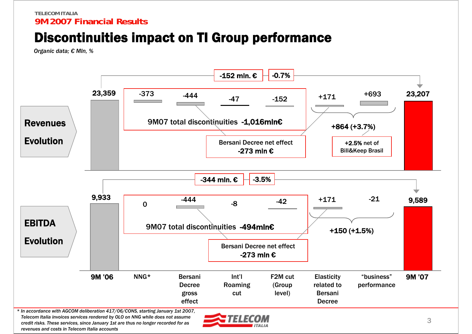# Discontinuities impact on TI Group performance

*Organic data; € Mln, %*



*Telecom Italia invoices services rendered by OLO on NNG while does not assume credit risks. These services, since January 1st are thus no longer recorded for as revenues and costs in Telecom Italia accounts*

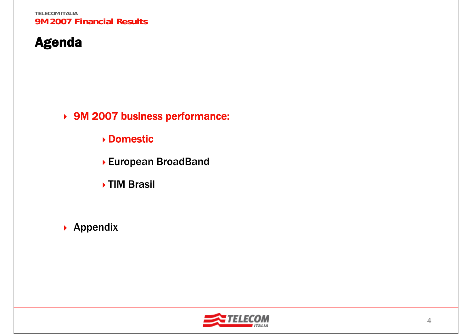# Agenda

9M 2007 business performance:

Domestic

- European BroadBand
- TIM Brasil
- ▶ Appendix

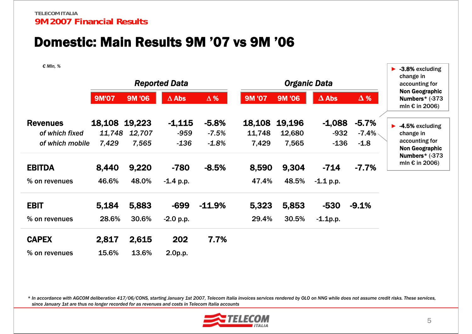### Domestic: Main Results 9M '07 vs 9M '06

*€ Mln, %*

| VIII, 70        |               |        | <b>Reported Data</b> |            |               | <b>Organic Data</b> |              |                          | -3.8% excluding<br>change in<br>accounting for                     |
|-----------------|---------------|--------|----------------------|------------|---------------|---------------------|--------------|--------------------------|--------------------------------------------------------------------|
|                 | <b>9M'07</b>  | 9M '06 | $\Delta$ Abs         | $\Delta$ % | <b>9M '07</b> | 9M '06              | $\Delta$ Abs | $\Delta$ %               | <b>Non Geographic</b><br>Numbers* (-373<br>mln $\epsilon$ in 2006) |
| <b>Revenues</b> | 18,108 19,223 |        | $-1,115$             | $-5.8%$    | 18,108        | 19,196              | $-1,088$     | $-5.7%$                  | -4.5% excluding                                                    |
| of which fixed  | 11,748        | 12,707 | $-959$               | $-7.5%$    | 11,748        | 12,680              | $-932$       | -7.4% $\scriptstyle\sim$ | change in                                                          |
| of which mobile | 7,429         | 7,565  | $-136$               | $-1.8%$    | 7,429         | 7,565               | $-136$       | $-1.8$                   | accounting for<br><b>Non Geographic</b><br>Numbers* (-373          |
| <b>EBITDA</b>   | 8,440         | 9,220  | $-780$               | $-8.5%$    | 8,590         | 9,304               | $-714$       | $-7.7%$                  | mln $\epsilon$ in 2006)                                            |
| % on revenues   | 46.6%         | 48.0%  | $-1.4$ p.p.          |            | 47.4%         | 48.5%               | $-1.1$ p.p.  |                          |                                                                    |
| <b>EBIT</b>     | 5,184         | 5,883  | $-699$               | $-11.9%$   | 5,323         | 5,853               | $-530$       | $-9.1%$                  |                                                                    |
| % on revenues   | 28.6%         | 30.6%  | $-2.0 p.p.$          |            | 29.4%         | 30.5%               | $-1.1p.p.$   |                          |                                                                    |
| <b>CAPEX</b>    | 2,817         | 2,615  | 202                  | 7.7%       |               |                     |              |                          |                                                                    |
| % on revenues   | 15.6%         | 13.6%  | 2.0p.p.              |            |               |                     |              |                          |                                                                    |

*\* In accordance with AGCOM deliberation 417/06/CONS, starting January 1st 2007, Telecom Italia invoices services rendered by OLO on NNG while does not assume credit risks. These services, since January 1st are thus no longer recorded for as revenues and costs in Telecom Italia accounts*

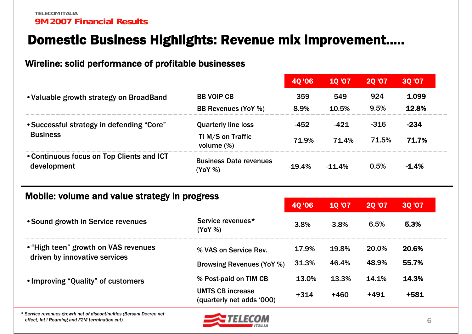### Domestic Business Highlights: Revenue mix improvement…..

#### Wireline: solid performance of profitable businesses

|                                                          |                                          | <b>40'06</b> | <b>10'07</b> | <b>20 '07</b> | <b>30 '07</b> |
|----------------------------------------------------------|------------------------------------------|--------------|--------------|---------------|---------------|
| • Valuable growth strategy on BroadBand                  | <b>BB VOIP CB</b>                        | 359          | 549          | 924           | 1.099         |
|                                                          | <b>BB Revenues (YoY %)</b>               | 8.9%         | 10.5%        | 9.5%          | 12.8%         |
| • Successful strategy in defending "Core"                | <b>Quarterly line loss</b>               | $-452$       | -421         | $-316$        | $-234$        |
| <b>Business</b>                                          | TI M/S on Traffic<br>volume $(\%)$       | 71.9%        | 71.4%        | 71.5%         | 71.7%         |
| • Continuous focus on Top Clients and ICT<br>development | <b>Business Data revenues</b><br>(YoY% ) | $-19.4%$     | $-11.4%$     | 0.5%          | $-1.4%$       |

#### Mobile: volume and value strategy in progress

|                                                      | <b>40 '06</b> | <b>10'07</b> |        | <b>30 '07</b> |
|------------------------------------------------------|---------------|--------------|--------|---------------|
| Service revenues*<br>(YoY %)                         | 3.8%          | 3.8%         | 6.5%   | 5.3%          |
| % VAS on Service Rev.                                | 17.9%         | 19.8%        | 20.0%  | 20.6%         |
| <b>Browsing Revenues (YoY %)</b>                     | 31.3%         | 46.4%        | 48.9%  | 55.7%         |
| % Post-paid on TIM CB                                | 13.0%         | 13.3%        | 14.1%  | 14.3%         |
| <b>UMTS CB increase</b><br>(quarterly net adds '000) | $+314$        | $+460$       | $+491$ | $+581$        |
|                                                      |               |              |        | <b>20 '07</b> |

*\* Service revenues growth net of discontinuities (Bersani Decree net effect, Int'l Roaming and F2M termination cut)*

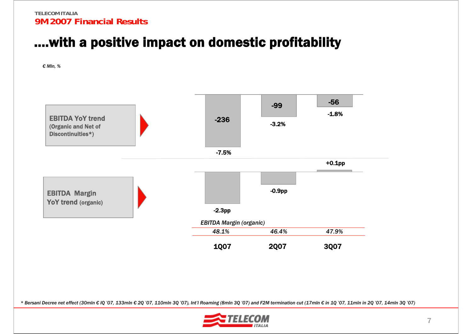### ….with a positive impact on domestic profitability

*€ Mln, %*



\* Bersani Decree net effect (30mln € IQ '07, 133mln € 2Q '07, 110mln 3Q '07), Int'l Roaming (8mln 3Q '07) and F2M termination cut (17mln € in 1Q '07, 11mln in 2Q '07, 14mln 3Q '07)

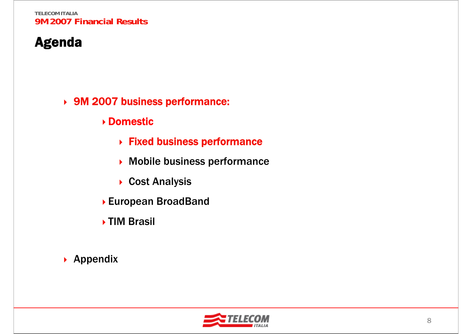# Agenda

9M 2007 business performance:

Domestic

- Fixed business performance
- ▶ Mobile business performance
- ▶ Cost Analysis
- European BroadBand
- TIM Brasil

▶ Appendix

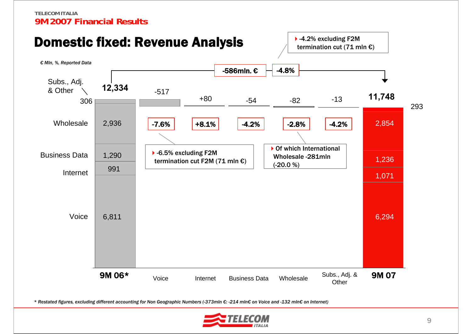

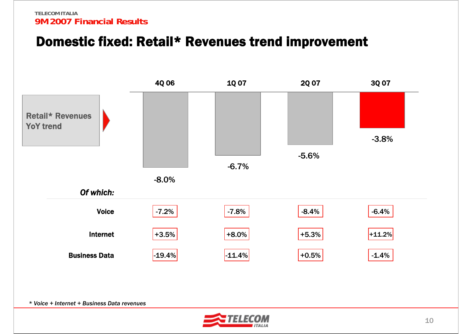### Domestic fixed: Retail\* Revenues trend improvement



*\* Voice + Internet + Business Data revenues*

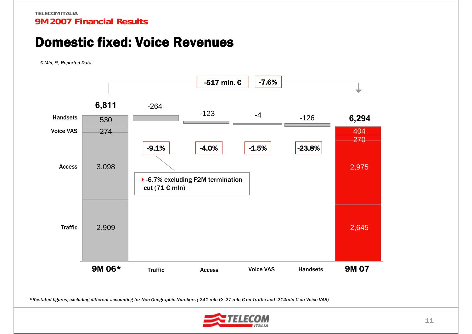### Domestic fixed: Voice Revenues

*€ Mln, %, Reported Data*



*\*Restated figures, excluding different accounting for Non Geographic Numbers (-241 mln €: -27 mln € on Traffic and -214mln € on Voice VAS)*

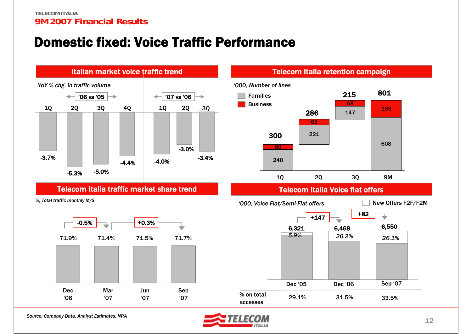### Domestic fixed: Voice Traffic Performance



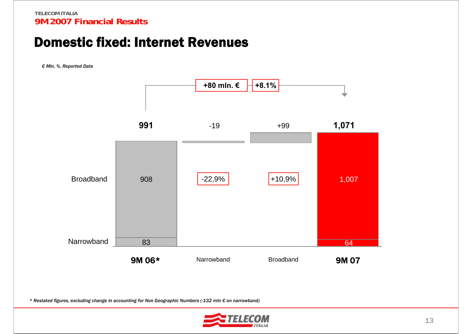### Domestic fixed: Internet Revenues

*€ Mln, %, Reported Data*



*\* Restated figures, excluding change in accounting for Non Geographic Numbers (-132 mln € on narrowband)*

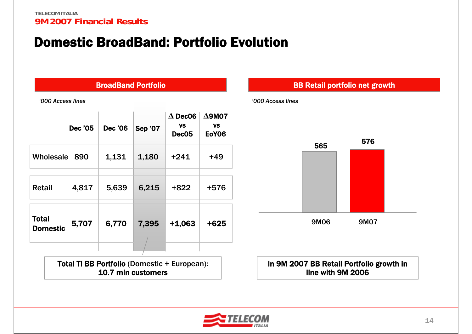### Domestic BroadBand: Portfolio Evolution

| <b>BroadBand Portfolio</b> |                |                |                |                                                  |                                            |  |  |  |  |  |  |  |
|----------------------------|----------------|----------------|----------------|--------------------------------------------------|--------------------------------------------|--|--|--|--|--|--|--|
| '000 Access lines          |                |                |                |                                                  |                                            |  |  |  |  |  |  |  |
|                            | <b>Dec '05</b> | <b>Dec '06</b> | <b>Sep '07</b> | $\Delta$ Dec06<br><b>VS</b><br>Dec <sub>05</sub> | $\Delta$ 9M07<br><b>VS</b><br><b>EoY06</b> |  |  |  |  |  |  |  |
| Wholesale                  | 890            | 1,131          | 1,180          | $+241$                                           | $+49$                                      |  |  |  |  |  |  |  |
| <b>Retail</b>              | 4,817          | 5,639          | 6,215          | $+822$                                           | +576                                       |  |  |  |  |  |  |  |
| Total<br><b>Domestic</b>   | 5,707          | 6,770          | 7,395          | $+1,063$                                         | +625                                       |  |  |  |  |  |  |  |
|                            |                |                |                |                                                  |                                            |  |  |  |  |  |  |  |

Total TI BB Portfolio (Domestic + European): 10.7 mln customers

# 9M06 9M07565 <sup>576</sup> *'000 Access lines*In 9M 2007 BB Retail Portfolio growth in line with 9M 2006BB Retail portfolio net growth

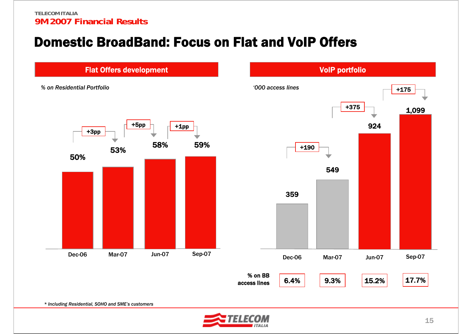### Domestic BroadBand: Focus on Flat and VoIP Offers

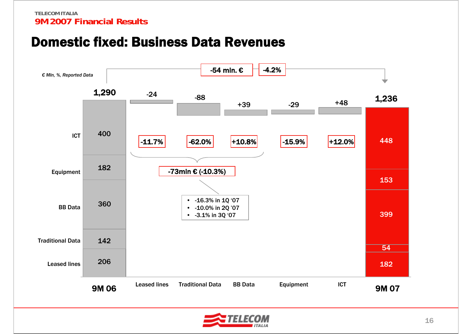### Domestic fixed: Business Data Revenues



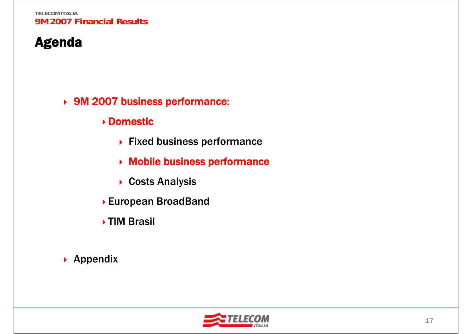# Agenda

#### 9M 2007 business performance:

- Domestic
	- ▶ Fixed business performance
	- Mobile business performance
	- ▶ Costs Analysis
- European BroadBand
- TIM Brasil

### ▶ Appendix

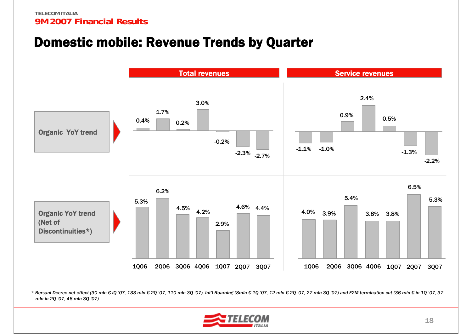### Domestic mobile: Revenue Trends by Quarter



\* Bersani Decree net effect (30 mln € IQ '07, 133 mln € 2Q '07, 110 mln 3Q '07), Int'l Roaming (8mln € 1Q '07, 12 mln € 2Q '07, 27 mln 3Q '07) and F2M termination cut (36 mln € in 1Q '07, 37 *mln in 2Q '07, 46 mln 3Q '07)*

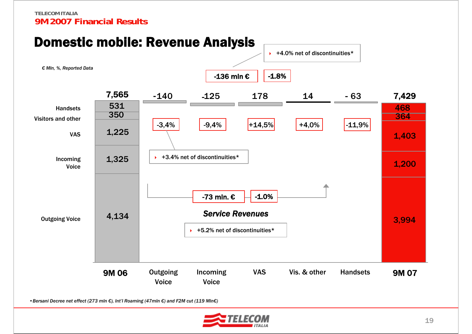#### -136 mln € -1.8% HandsetsDomestic mobile: Revenue Analysis  $\leftrightarrow$  +4.0% net of discontinuities\* 9M 07140 125 178 14 63Outgoing Voice Incoming VoiceVASVisitors and other9M 06**Outgoing** VoiceIncoming VoiceVAS Handsets Vis. & other -73 mln. € -1.0% *Service Revenues* $\rightarrow$  +5.2% net of discontinuities\*  $\rightarrow$  +3.4% net of discontinuities\* 7,565 7,429  $-3,4\%$   $-9,4\%$   $+14,5\%$   $+4,0\%$   $-11,9\%$ -  $-125$ -129 170 14 -*€ Mln, %, Reported Data* 4,134 1,325 1,225 3,994 1,200 1,403 350 364364 531 $\overline{1}$  and  $\overline{468}$

•*Bersani Decree net effect (273 mln €), Int'l Roaming (47mln €) and F2M cut (119 Mln€)*

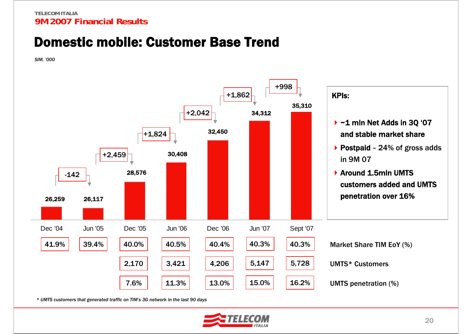### Domestic mobile: Customer Base Trend

*SIM, '000*



*\* UMTS customers that generated traffic on TIM's 3G network in the last 90 days*

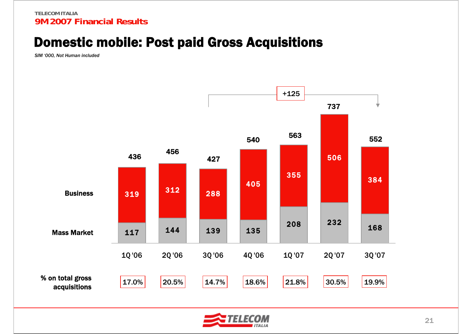### Domestic mobile: Post paid Gross Acquisitions

*SIM '000, Not Human included*



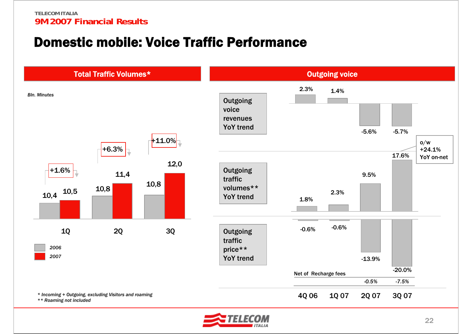### Domestic mobile: Voice Traffic Performance



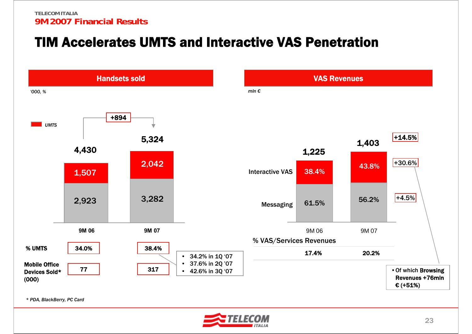### TIM Accelerates UMTS and Interactive VAS Penetration



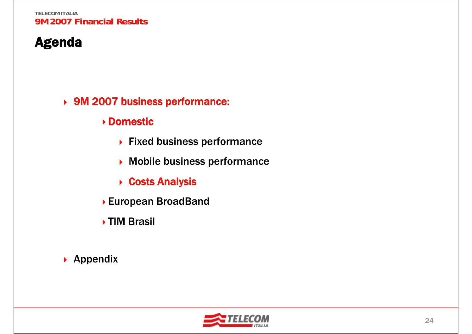# Agenda

#### 9M 2007 business performance:

#### Domestic

- ▶ Fixed business performance
- ▶ Mobile business performance
- **▶ Costs Analysis**
- European BroadBand
- TIM Brasil

### ▶ Appendix

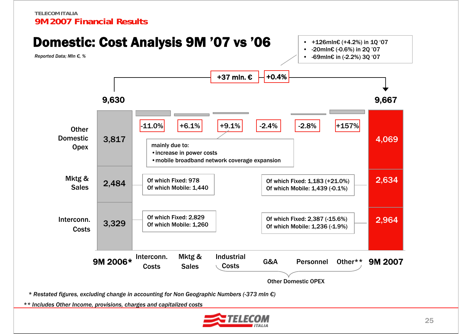

*\*\* Includes Other Income, provisions, charges and capitalized costs*

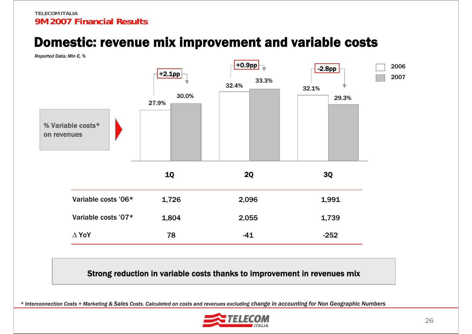### Domestic: revenue mix improvement and variable costs

*Reported Data; Mln €, %*



Strong reduction in variable costs thanks to improvement in revenues mix

*\* Interconnection Costs + Marketing & Sales Costs. Calculeted on costs and revenues excluding change in accounting for Non Geographic Numbers* 

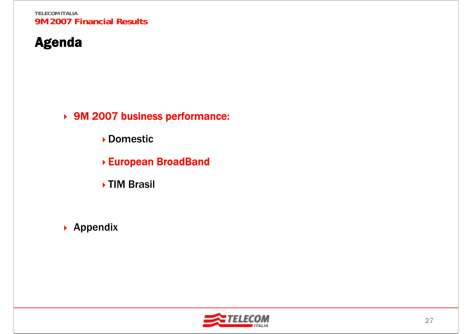# Agenda

9M 2007 business performance:

Domestic

- European BroadBand
- TIM Brasil
- ▶ Appendix

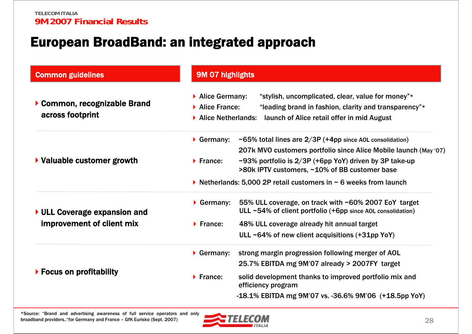### European BroadBand: an integrated approach

| <b>Common guidelines</b>                         | <b>9M 07 highlights</b>                                                                                                                                                                                             |
|--------------------------------------------------|---------------------------------------------------------------------------------------------------------------------------------------------------------------------------------------------------------------------|
| ▶ Common, recognizable Brand<br>across footprint | "stylish, uncomplicated, clear, value for money"*<br>▶ Alice Germany:<br>Alice France:<br>"leading brand in fashion, clarity and transparency"*<br>Alice Netherlands:<br>launch of Alice retail offer in mid August |
|                                                  | ~65% total lines are $2/3P$ (+4pp since AOL consolidation)<br>$\triangleright$ Germany:                                                                                                                             |
| ▶ Valuable customer growth                       | 207k MVO customers portfolio since Alice Mobile launch (May '07)<br>$\sim$ 93% portfolio is 2/3P (+6pp YoY) driven by 3P take-up<br>$\blacktriangleright$ France:<br>>80k IPTV customers, ~10% of BB customer base  |
|                                                  | lacktriands: 5,000 2P retail customers in $\sim$ 6 weeks from launch                                                                                                                                                |
| ▶ ULL Coverage expansion and                     | 55% ULL coverage, on track with ~60% 2007 EoY target<br>$\triangleright$ Germany:<br>ULL $~54\%$ of client portfolio (+6pp since AOL consolidation)                                                                 |
| improvement of client mix                        | $\blacktriangleright$ France:<br>48% ULL coverage already hit annual target                                                                                                                                         |
|                                                  | ULL $~64\%$ of new client acquisitions (+31pp YoY)                                                                                                                                                                  |
|                                                  | $\triangleright$ Germany:<br>strong margin progression following merger of AOL                                                                                                                                      |
|                                                  | 25.7% EBITDA mg 9M'07 already > 2007FY target                                                                                                                                                                       |
| $\triangleright$ Focus on profitability          | solid development thanks to improved portfolio mix and<br>$\blacktriangleright$ France:<br>efficiency program                                                                                                       |
|                                                  | -18.1% EBITDA mg 9M'07 vs. -36.6% 9M'06 (+18.5pp YoY)                                                                                                                                                               |

\*Source: "Brand and advertising awareness of full service operators and only broadband providers.."for Germany and France – GfK Eurisko (Sept. 2007)

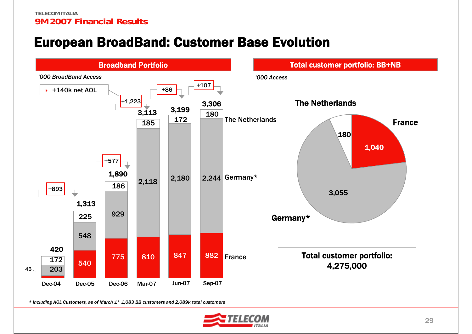# European BroadBand: Customer Base Evolution



*\* Including AOL Customers, as of March 1° 1,083 BB customers and 2,089k total customers*

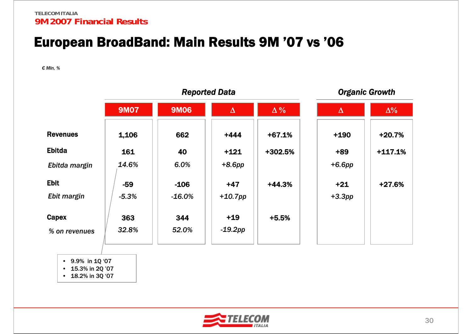### European BroadBand: Main Results 9M '07 vs '06

*€ Mln, %*

|                               |              | <b>Reported Data</b> |                     |            | <b>Organic Growth</b> |            |
|-------------------------------|--------------|----------------------|---------------------|------------|-----------------------|------------|
|                               | <b>9M07</b>  | <b>9M06</b>          | $\Delta$            | $\Delta\%$ | $\Delta$              | $\Delta\%$ |
| <b>Revenues</b>               | 1,106        | 662                  | $+444$              | $+67.1%$   | $+190$                | $+20.7%$   |
| <b>Ebitda</b>                 | 161          | 40                   | $+121$              | +302.5%    | $+89$                 | $+117.1%$  |
| Ebitda margin                 | 14.6%        | 6.0%                 | $+8.6$ pp           |            | $+6.6pp$              |            |
| <b>Ebit</b>                   | $-59$        | $-106$               | $+47$               | $+44.3%$   | $+21$                 | +27.6%     |
| Ebit margin                   | $-5.3%$      | $-16.0%$             | $+10.7$ pp          |            | $+3.3pp$              |            |
| <b>Capex</b><br>% on revenues | 363<br>32.8% | 344<br>52.0%         | $+19$<br>$-19.2$ pp | $+5.5%$    |                       |            |
|                               |              |                      |                     |            |                       |            |

• 9.9% in 1Q '07

• 15.3% in 2Q '07

• 18.2% in 3Q '07

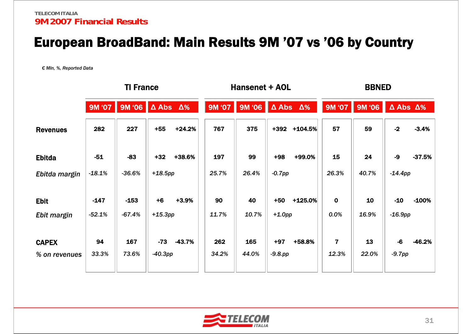### European BroadBand: Main Results 9M '07 vs '06 by Country

*€ Mln, %, Reported Data*

|                               | <b>TI France</b> |                                |                     |          | <b>Hansenet + AOL</b> |                                |                     | <b>BBNED</b> |                         |             |                         |          |
|-------------------------------|------------------|--------------------------------|---------------------|----------|-----------------------|--------------------------------|---------------------|--------------|-------------------------|-------------|-------------------------|----------|
|                               | <b>9M '07</b>    | 9M '06 $\Delta$ Abs $\Delta\%$ |                     |          | 9M '07                | 9M '06 $\Delta$ Abs $\Delta\%$ |                     |              | <b>9M '07</b>           | 9M '06      | $\Delta$ Abs $\Delta\%$ |          |
| <b>Revenues</b>               | 282              | 227                            | $+55$               | $+24.2%$ | 767                   | 375                            | +392                | $+104.5%$    | 57                      | 59          | $-2$                    | $-3.4%$  |
| <b>Ebitda</b>                 | $-51$            | $-83$                          | $+32$               | +38.6%   | 197                   | 99                             | $+98$               | +99.0%       | 15                      | 24          | -9                      | $-37.5%$ |
| Ebitda margin                 | $-18.1%$         | $-36.6%$                       | $+18.5$ pp          |          | 25.7%                 | 26.4%                          | $-0.7$ pp           |              | 26.3%                   | 40.7%       | $-14.4$ pp              |          |
| <b>Ebit</b>                   | $-147$           | $-153$                         | $+6$                | $+3.9%$  | 90                    | 40                             | $+50$               | $+125.0%$    | $\mathbf 0$             | 10          | $-10$                   | $-100%$  |
| Ebit margin                   | $-52.1%$         | $-67.4%$                       | $+15.3pp$           |          | 11.7%                 | 10.7%                          | $+1.0$ pp           |              | 0.0%                    | 16.9%       | $-16.9$ pp              |          |
| <b>CAPEX</b><br>% on revenues | 94<br>33.3%      | 167<br>73.6%                   | $-73$<br>$-40.3$ pp | -43.7%   | 262<br>34.2%          | 165<br>44.0%                   | $+97$<br>$-9.8$ .pp | +58.8%       | $\overline{7}$<br>12.3% | 13<br>22.0% | $-6$<br>$-9.7pp$        | -46.2%   |
|                               |                  |                                |                     |          |                       |                                |                     |              |                         |             |                         |          |

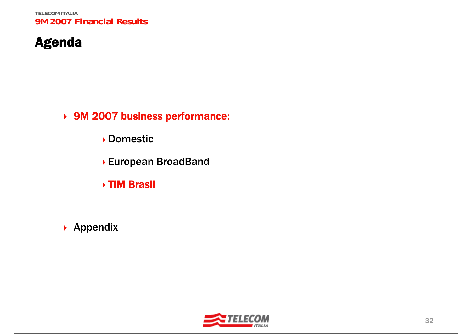# Agenda

9M 2007 business performance:

Domestic

- European BroadBand
- TIM Brasil
- ▶ Appendix

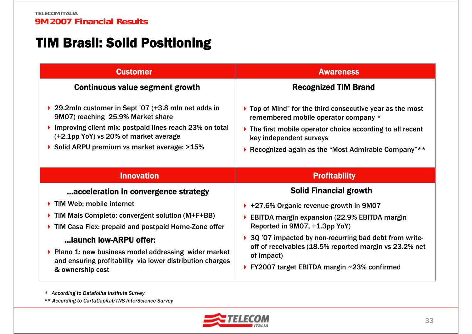## TIM Brasil: Solid Positioning

| <b>Customer</b>                                                                                                                                                                                                                                                                                                                                    | <b>Awareness</b>                                                                                                                                                                                                                                                                                                                                              |
|----------------------------------------------------------------------------------------------------------------------------------------------------------------------------------------------------------------------------------------------------------------------------------------------------------------------------------------------------|---------------------------------------------------------------------------------------------------------------------------------------------------------------------------------------------------------------------------------------------------------------------------------------------------------------------------------------------------------------|
| Continuous value segment growth                                                                                                                                                                                                                                                                                                                    | <b>Recognized TIM Brand</b>                                                                                                                                                                                                                                                                                                                                   |
| ▶ 29.2mln customer in Sept '07 (+3.8 mln net adds in<br>9M07) reaching 25.9% Market share<br>Improving client mix: postpaid lines reach 23% on total<br>(+2.1pp YoY) vs 20% of market average<br>▶ Solid ARPU premium vs market average: >15%                                                                                                      | $\triangleright$ Top of Mind" for the third consecutive year as the most<br>remembered mobile operator company *<br>$\triangleright$ The first mobile operator choice according to all recent<br>key independent surveys<br>▶ Recognized again as the "Most Admirable Company" **                                                                             |
| <b>Innovation</b>                                                                                                                                                                                                                                                                                                                                  | <b>Profitability</b>                                                                                                                                                                                                                                                                                                                                          |
| acceleration in convergence strategy<br>TIM Web: mobile internet<br>▶ TIM Mais Completo: convergent solution (M+F+BB)<br>▶ TIM Casa Flex: prepaid and postpaid Home-Zone offer<br>launch low-ARPU offer:<br>▶ Plano 1: new business model addressing wider market<br>and ensuring profitability via lower distribution charges<br>& ownership cost | <b>Solid Financial growth</b><br>▶ +27.6% Organic revenue growth in 9M07<br>$\triangleright$ EBITDA margin expansion (22.9% EBITDA margin<br>Reported in 9M07, +1.3pp YoY)<br>▶ 3Q '07 impacted by non-recurring bad debt from write-<br>off of receivables (18.5% reported margin vs 23.2% net<br>of impact)<br>▶ FY2007 target EBITDA margin ~23% confirmed |

*\* According to Datafolha Institute Survey* 

*\*\* According to CartaCapital/TNS InterScience Survey*

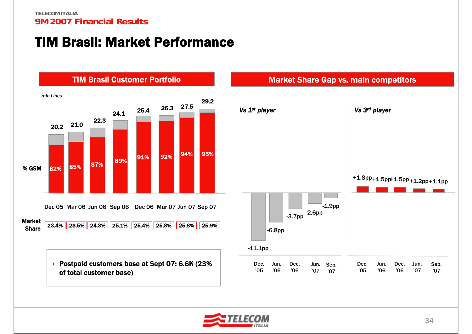### TIM Brasil: Market Performance



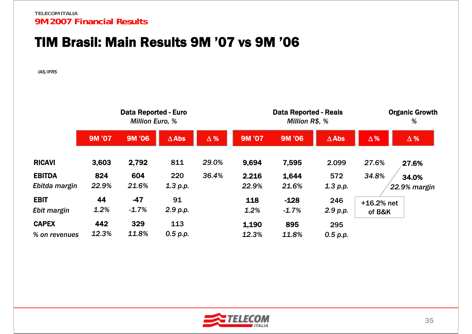### TIM Brasil: Main Results 9M '07 vs 9M '06

*IAS/IFRS*

|               | <b>Data Reported - Euro</b><br><b>Million Euro, %</b> |         |              |            | <b>Data Reported - Reais</b><br>Million R\$, % | <b>Organic Growth</b><br>% |                 |              |              |
|---------------|-------------------------------------------------------|---------|--------------|------------|------------------------------------------------|----------------------------|-----------------|--------------|--------------|
|               | <b>9M '07</b>                                         | 9M '06  | $\Delta$ Abs | $\Delta$ % | <b>9M '07</b>                                  | 9M '06                     | $\triangle$ Abs | $\Delta\%$   | $\Delta$ %   |
| <b>RICAVI</b> | 3,603                                                 | 2,792   | 811          | 29.0%      | 9,694                                          | 7,595                      | 2.099           | 27.6%        | 27.6%        |
| <b>EBITDA</b> | 824                                                   | 604     | 220          | 36.4%      | 2.216                                          | 1,644                      | 572             | 34.8%        | 34.0%        |
| Ebitda margin | 22.9%                                                 | 21.6%   | 1.3 p.p.     |            | 22.9%                                          | 21.6%                      | 1.3 p.p.        |              | 22.9% margin |
| <b>EBIT</b>   | 44                                                    | $-47$   | 91           |            | 118                                            | $-128$                     | 246             | $+16.2%$ net |              |
| Ebit margin   | 1.2%                                                  | $-1.7%$ | 2.9 p.p.     |            | 1.2%                                           | $-1.7%$                    | 2.9 p.p.        | of B&K       |              |
| <b>CAPEX</b>  | 442                                                   | 329     | 113          |            | 1,190                                          | 895                        | 295             |              |              |
| % on revenues | 12.3%                                                 | 11.8%   | 0.5 p.p.     |            | 12.3%                                          | 11.8%                      | 0.5 p.p.        |              |              |

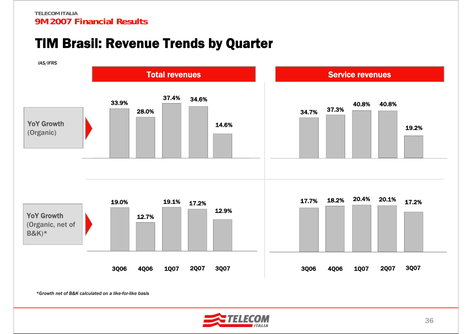### TIM Brasil: Revenue Trends by Quarter



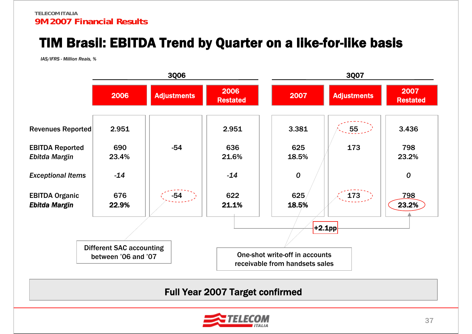# TIM Brasil: EBITDA Trend by Quarter on a like-for-like basis

*IAS/IFRS - Million Reais, %*



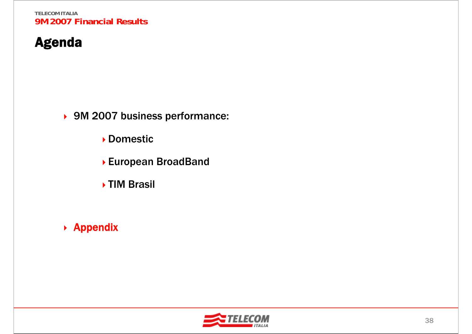# Agenda

9M 2007 business performance:

Domestic

- European BroadBand
- TIM Brasil
- ▶ Appendix

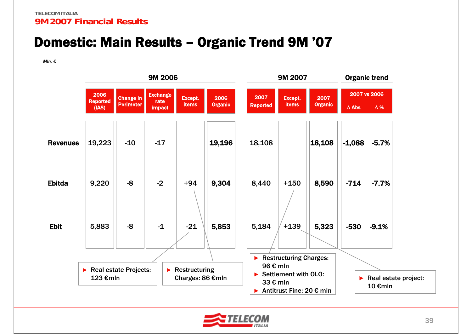### Domestic: Main Results – Organic Trend 9M '07

*Mln. €*



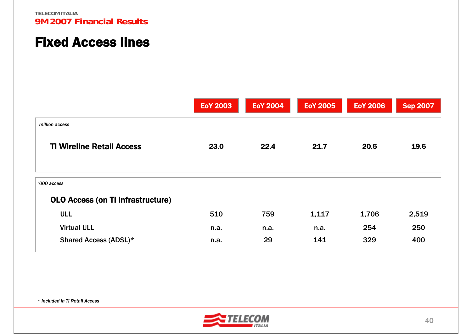### Fixed Access lines

|                                                         | <b>EoY 2003</b> | <b>EoY 2004</b> | <b>EoY 2005</b> | <b>EoY 2006</b> | <b>Sep 2007</b> |
|---------------------------------------------------------|-----------------|-----------------|-----------------|-----------------|-----------------|
| million access                                          |                 |                 |                 |                 |                 |
| <b>TI Wireline Retail Access</b>                        | 23.0            | 22.4            | 21.7            | 20.5            | 19.6            |
| '000 access<br><b>OLO Access (on TI infrastructure)</b> |                 |                 |                 |                 |                 |
| <b>ULL</b>                                              | 510             | 759             | 1,117           | 1,706           | 2,519           |
| <b>Virtual ULL</b>                                      | n.a.            | n.a.            | n.a.            | 254             | 250             |
| Shared Access (ADSL)*                                   | n.a.            | 29              | 141             | 329             | 400             |

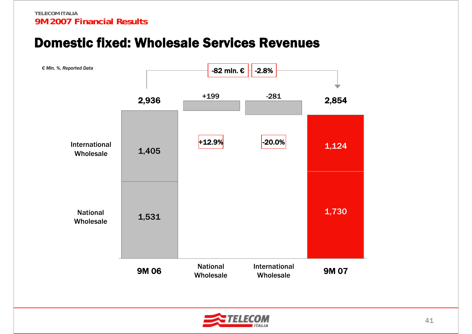### Domestic fixed: Wholesale Services Revenues



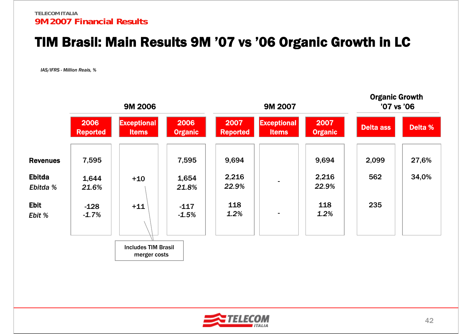### TIM Brasil: Main Results 9M '07 vs '06 Organic Growth in LC

*IAS/IFRS - Million Reais, %*